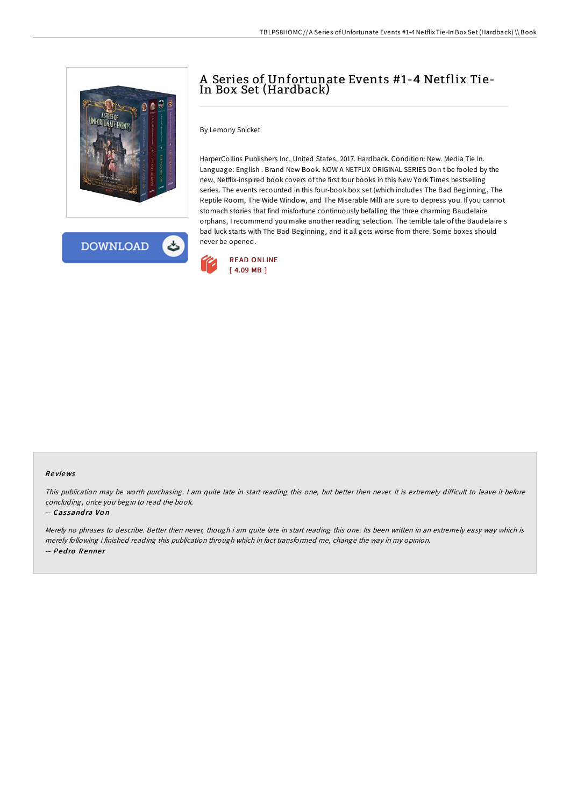



# A Series of Unfortunate Events #1-4 Netflix Tie-In Box Set (Hardback)

By Lemony Snicket

HarperCollins Publishers Inc, United States, 2017. Hardback. Condition: New. Media Tie In. Language: English . Brand New Book. NOW A NETFLIX ORIGINAL SERIES Don t be fooled by the new, Netflix-inspired book covers of the first four books in this New York Times bestselling series. The events recounted in this four-book box set (which includes The Bad Beginning, The Reptile Room, The Wide Window, and The Miserable Mill) are sure to depress you. If you cannot stomach stories that find misfortune continuously befalling the three charming Baudelaire orphans, I recommend you make another reading selection. The terrible tale of the Baudelaire s bad luck starts with The Bad Beginning, and it all gets worse from there. Some boxes should never be opened.



#### Re views

This publication may be worth purchasing. I am quite late in start reading this one, but better then never. It is extremely difficult to leave it before concluding, once you begin to read the book.

#### -- Cassandra Von

Merely no phrases to describe. Better then never, though i am quite late in start reading this one. Its been written in an extremely easy way which is merely following i finished reading this publication through which in fact transformed me, change the way in my opinion. -- Pedro Renner